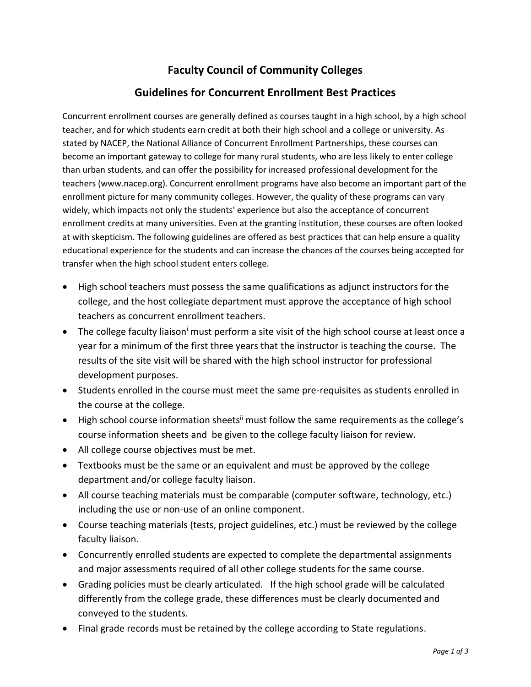## **Faculty Council of Community Colleges**

## **Guidelines for Concurrent Enrollment Best Practices**

Concurrent enrollment courses are generally defined as courses taught in a high school, by a high school teacher, and for which students earn credit at both their high school and a college or university. As stated by NACEP, the National Alliance of Concurrent Enrollment Partnerships, these courses can become an important gateway to college for many rural students, who are less likely to enter college than urban students, and can offer the possibility for increased professional development for the teachers (www.nacep.org). Concurrent enrollment programs have also become an important part of the enrollment picture for many community colleges. However, the quality of these programs can vary widely, which impacts not only the students' experience but also the acceptance of concurrent enrollment credits at many universities. Even at the granting institution, these courses are often looked at with skepticism. The following guidelines are offered as best practices that can help ensure a quality educational experience for the students and can increase the chances of the courses being accepted for transfer when the high school student enters college.

- High school teachers must possess the same qualifications as adjunct instructors for the college, and the host collegiate department must approve the acceptance of high school teachers as concurrent enrollment teachers.
- The college faculty liaison<sup>i</sup> must perform a site visit of the high school course at least once a year for a minimum of the first three years that the instructor is teaching the course. The results of the site visit will be shared with the high school instructor for professional development purposes.
- Students enrolled in the course must meet the same pre-requisites as students enrolled in the course at the college.
- High school course information sheets<sup>ii</sup> must follow the same requirements as the college's course information sheets and be given to the college faculty liaison for review.
- All college course objectives must be met.
- Textbooks must be the same or an equivalent and must be approved by the college department and/or college faculty liaison.
- All course teaching materials must be comparable (computer software, technology, etc.) including the use or non-use of an online component.
- Course teaching materials (tests, project guidelines, etc.) must be reviewed by the college faculty liaison.
- Concurrently enrolled students are expected to complete the departmental assignments and major assessments required of all other college students for the same course.
- Grading policies must be clearly articulated. If the high school grade will be calculated differently from the college grade, these differences must be clearly documented and conveyed to the students.
- Final grade records must be retained by the college according to State regulations.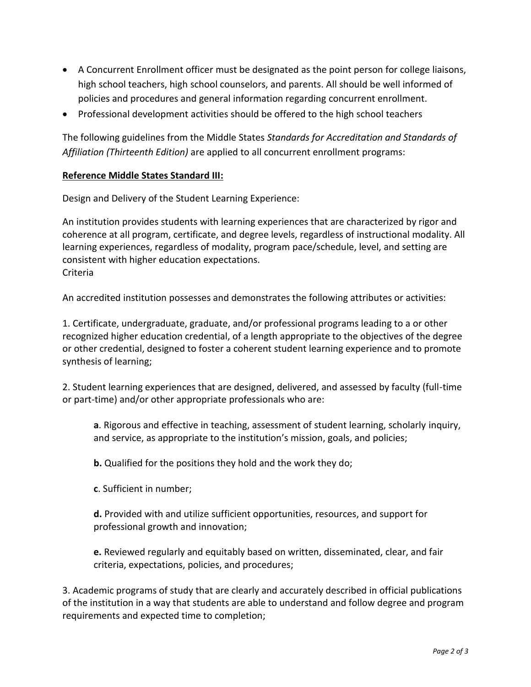- A Concurrent Enrollment officer must be designated as the point person for college liaisons, high school teachers, high school counselors, and parents. All should be well informed of policies and procedures and general information regarding concurrent enrollment.
- Professional development activities should be offered to the high school teachers

The following guidelines from the Middle States *Standards for Accreditation and Standards of Affiliation (Thirteenth Edition)* are applied to all concurrent enrollment programs:

## **Reference Middle States Standard III:**

Design and Delivery of the Student Learning Experience:

An institution provides students with learning experiences that are characterized by rigor and coherence at all program, certificate, and degree levels, regardless of instructional modality. All learning experiences, regardless of modality, program pace/schedule, level, and setting are consistent with higher education expectations. Criteria

An accredited institution possesses and demonstrates the following attributes or activities:

1. Certificate, undergraduate, graduate, and/or professional programs leading to a or other recognized higher education credential, of a length appropriate to the objectives of the degree or other credential, designed to foster a coherent student learning experience and to promote synthesis of learning;

2. Student learning experiences that are designed, delivered, and assessed by faculty (full-time or part-time) and/or other appropriate professionals who are:

**a**. Rigorous and effective in teaching, assessment of student learning, scholarly inquiry, and service, as appropriate to the institution's mission, goals, and policies;

**b.** Qualified for the positions they hold and the work they do;

**c**. Sufficient in number;

**d.** Provided with and utilize sufficient opportunities, resources, and support for professional growth and innovation;

**e.** Reviewed regularly and equitably based on written, disseminated, clear, and fair criteria, expectations, policies, and procedures;

3. Academic programs of study that are clearly and accurately described in official publications of the institution in a way that students are able to understand and follow degree and program requirements and expected time to completion;